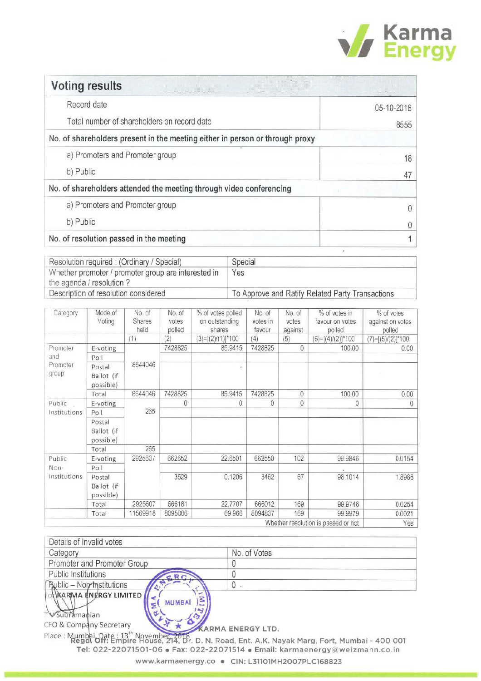

| <b>Voting results</b>                                                        |            |
|------------------------------------------------------------------------------|------------|
| Record date                                                                  | 05-10-2018 |
| Total number of shareholders on record date                                  | 8555       |
| No. of shareholders present in the meeting either in person or through proxy |            |
| a) Promoters and Promoter group                                              | 18         |
| b) Public                                                                    | 47         |
| No. of shareholders attended the meeting through video conferencing          |            |
| a) Promoters and Promoter group                                              | 0          |
| b) Public                                                                    |            |
| No. of resolution passed in the meeting                                      |            |

| Resolution required: (Ordinary / Special)                                        | Special                                          |
|----------------------------------------------------------------------------------|--------------------------------------------------|
| Whether promoter / promoter group are interested in<br>the agenda / resolution ? | Yes                                              |
| Description of resolution considered                                             | To Approve and Ratify Related Party Transactions |

| Category                       | Mode of<br>Voting                 | No. of<br>Shares<br>held | No. of<br>votes<br>polled | % of votes polled<br>on outstanding<br>shares | No. of<br>votes in<br>favour | No. of<br>votes<br>against | % of votes in<br>favour on votes<br>polled | % of votes<br>against on votes<br>polled |
|--------------------------------|-----------------------------------|--------------------------|---------------------------|-----------------------------------------------|------------------------------|----------------------------|--------------------------------------------|------------------------------------------|
|                                |                                   | (1)                      | (2)                       | $(3)=[(2)/(1)]$ *100                          | (4)                          | (5)                        | $(6)=[(4)/(2)]*100$                        | $(7)=[(5)/(2)]$ *100                     |
| Promoter                       | E-voting                          |                          | 7428825                   | 85,9415                                       | 7428825                      | $\theta$                   | 100.00                                     | 0.00                                     |
| and                            | Poll                              |                          |                           |                                               |                              |                            |                                            |                                          |
| Promoter<br>group              | Postal<br>Ballot (if<br>possible) | 8644046                  |                           | ×                                             |                              |                            |                                            |                                          |
|                                | Total                             | 8644046                  | 7428825                   | 85.9415                                       | 7428825                      | 0                          | 100.00                                     | 0.00                                     |
| Public                         | E-voting                          |                          | 0                         | 0                                             | 0                            | 0                          | 0                                          | 0                                        |
| Institutions                   | Poll                              | 265                      |                           |                                               |                              |                            |                                            |                                          |
|                                | Postal<br>Ballot (if<br>possible) |                          |                           |                                               |                              |                            |                                            |                                          |
|                                | Total                             | 265                      |                           |                                               |                              |                            |                                            |                                          |
| Public<br>Non-<br>institutions | E-voting                          | 2925607                  | 662652                    | 22.6501                                       | 662550                       | 102                        | 99.9846                                    | 0.0154                                   |
|                                | Poll                              |                          |                           |                                               |                              |                            |                                            |                                          |
|                                | Postal<br>Ballot (if<br>possible) |                          | 3529                      | 0.1206                                        | 3462                         | 67                         | 98.1014                                    | 1.8986                                   |
|                                | Total                             | 2925607                  | 666181                    | 22.7707                                       | 666012                       | 169                        | 99.9746                                    | 0.0254                                   |
|                                | Total                             | 11569918                 | 8095006                   | 69.966                                        | 8094837                      | 169                        | 99.9979                                    | 0.0021                                   |
|                                |                                   |                          |                           |                                               |                              |                            | Whether resolution is passed or not        | Yes                                      |

| Details of Invalid votes     |              |
|------------------------------|--------------|
| Category                     | No. of Votes |
| Promoter and Promoter Group  |              |
| Public Institutions          |              |
| Public - Non-Institutions    | U            |
| ot KARMA ENERGY LIMITED<br>3 |              |
| <b>MUMBAI</b>                |              |
|                              |              |

Subramanian Т

 $\vec{t}$ CFO & Company Secretary KARMA ENERGY LTD.

 $\Delta$ 

¢

Place : Mumbai, Date : 13<sup>th</sup> November, 2018.<br>Regal Off: Empire House, 214, Dr. D. N. Road, Ent. A.K. Nayak Marg, Fort, Mumbai - 400 001 Tel: 022-22071501-06 · Fax: 022-22071514 · Email: karmaenergy@weizmann.co.in www.karmaenergy.co · CIN: L31101MH2007PLC168823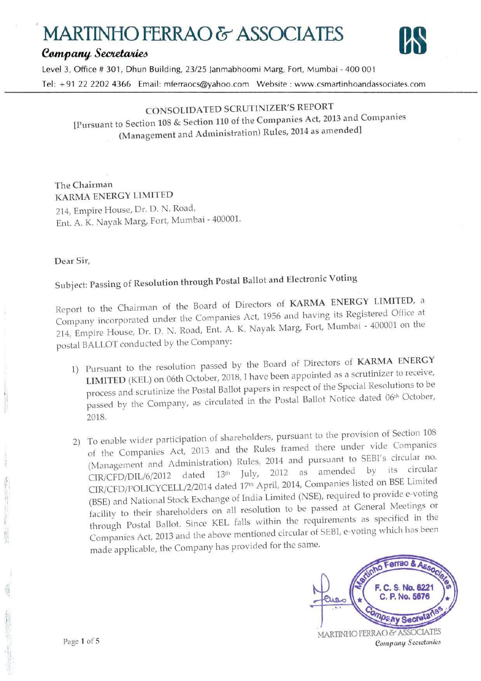# **MARTINiiO** FERRAO & **ASSOCIATES**  MARTINHO FERRAO & ASSOCIATES<br> *Company Secretaries*<br>
Level 3. Office # 301. Dbun Building, 23/25 Janmabhoomi Marg. Fort. Mumbai - 400.001



Level 3, Office # 301, Dhun Building, 23/25 Janmabhoomi Marg, Fort, Mumbai - 400 001 Tel: + 91 22 2202 4366 Email: mferraocs@yahoo.com Website : www.csmartinhoandassociates.com

### CONSOLIDATED SCRUTINIZER'S REPORT

[Pursuant to Section 108 & Section 110 of the Companies Act, 2013 and Companies (Management and Administration) Rules, 2014 as amended]

**The Chairman KARMA ENERGY LIMITED**  214, Empire House, Dr. D. N. Road, Ent. A. K. Nayak Marg, Fort, Mumbai - 400001.

#### **Dear Sir,**

## Subject: Passing of Resolution through Postal Ballot and Electronic Voting

Reporl to the Chairman of the Board of Directors of **KARMA ENERGY LIMITED,** a Company incorporated under the Companies Act, 1956 and having its Registered Office at 214, Empire House, Or. D. N. Road, Ent. A. K. Nayak Marg, Fort, Mumbai - 400001 on the postal BALLOT conducted by the Company:

- 1) Pursuant to the resolution passed by the Board of Directors of **KARMA ENERGY LIMITED** (KEL) on 06th October, 2018, I have been appointed as a scrutinizer to receive, process and scrutinize the Postal Ballot papers in respect of the Special Resolutions to be process and scrutified are expected in the Postal Ballot Notice dated 06<sup>th</sup> October, 2018.
- 2) To enable wider participation of shareholders, pursuant to the provision of Section 108 of the Companies Act, 2013 and the Rules framed there under vide Companies (Management and Administration) Rules, 2014 and pursuant to SEBI's circular no.<br> $C\text{IP}/\text{CFD}/\text{DH}/6/2012$  dated 13<sup>th</sup> Iuly. 2012 as amended by its circular CIR/CED/DIL/6/2012 dated  $13<sup>th</sup>$  July, 2012 as amended by its circular CIR/CED/POLICYCELL/2/2014 dated  $17<sup>th</sup>$  April, 2014, Companies listed on BSE Limited (BSE) and National Stock Exchange of India Limited (NSE), required to provide e-voting facility to their shareholders on all resolution to be passed at General Meetings or through Postal Ballot. Since KEL falls within the requirements as specified in the Companies Act, 2013 and the above mentioned circular of SEBI, e-voting which has been made applicable, the Company has provided for the same.



Page I of S

 $\frac{1}{2}$ ,  $\frac{1}{2}$ ,  $\frac{1}{2}$ 

I !:. .,

> • ·,~

•. 1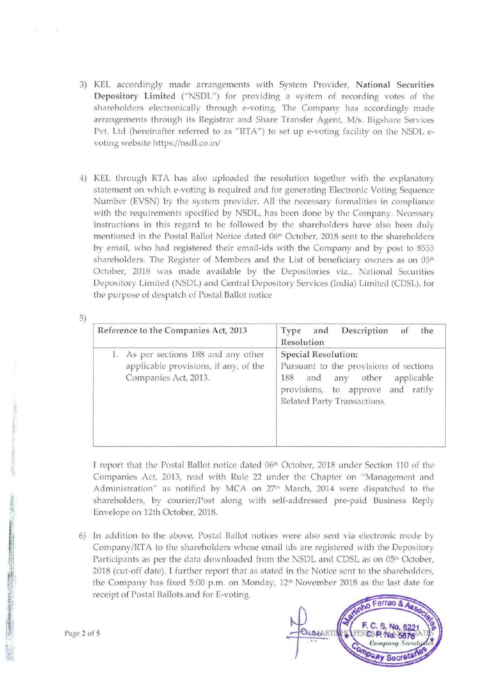- 3) KEL accordingly made arrangements with System Provider, National Securities Depository Limited ("NSDL") for providing a system of recording voles of the shareholders electronically through e-voting. The Company has accordingly made arrangements through its Registrar and Share Transfer Agent, M/s. Bigshare Services Pvt. Ltd (hereinafter referred to as "RTA") to set up e-voting facility on the NSDL evoting website https://nsdl.co.in/
- 4) KEL through RTA has also uploaded the resolution together with the explanatory statement on which e-voting is required and for generating Electronic Voling Sequence Number (EVSN) by the system provider. All the necessary formalities in compliance with the requirements specified by NSDL, has been done by the Company. Necessary instructions in this regard to be followed by the shareholders have also been duly mentioned in the Postal Ballot Notice dated 06<sup>th</sup> October, 2018 sent to the shareholders by email, vvho had registered their email-ids with the Company and by post lo 8555 shareholders. The Register of Members and the List of beneficiary owners as on 05<sup>th</sup> October, 2018 was made available by the Depositories viz., National Securities Depository Limited (NSDL) and Central Depository Services (India) Limited (CDSL), for the purpose of despatch of Postal Ballot notice

| Reference to the Companies Act, 2013                                                                  | Description<br>the<br>and<br>Type<br>of<br>Resolution                                                                                                                               |
|-------------------------------------------------------------------------------------------------------|-------------------------------------------------------------------------------------------------------------------------------------------------------------------------------------|
| 1. As per sections 188 and any other<br>applicable provisions, if any, of the<br>Companies Act, 2013. | Special Resolution:<br>Pursuant to the provisions of sections<br>188<br>other<br>applicable<br>and<br>any<br>provisions, to approve<br>ratify<br>and<br>Related Party Transactions. |

I report that the Postal Ballot notice dated 06<sup>th</sup> October, 2018 under Section 110 of the Companies Act, 2013, read with Rule 22 under the Chapter on "Management and Administration" as notified by MCA on 27<sup>th</sup> March, 2014 were dispatched to the shareholders, by courier/Post along with self-addressed pre-paid Business Reply Envelope on 12th October, 2018.

6) In addition to the above, Postal Ballot notices were also sent via electronic mode by Company/RTA to the shareholders whose email ids are registered with the Depository Participants as per the data downloaded from the NSDL and CDSL as on 05<sup>th</sup> October, 2018 (cut-off date). I further report that as stated in the Notice sent to the shareholders, the Company has fixed 5:00 p.m. on Monday, 12<sup>th</sup> November 2018 as the last date for receipt of Postal Ballots and for E-voting.



Page 2 of 5

5)

t I .,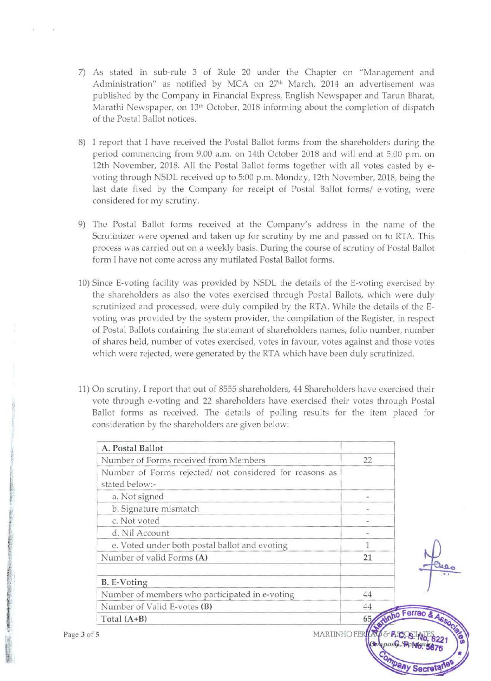- 7) As stated in sub-rule 3 of Rule 20 under the Chapter on "Management and Administration" as notified by MCA on 27<sup>th</sup> March, 2014 an advertisement was published by the Company in Financial Express, English Newspaper and Tarun Bharat, Marathi Newspaper, on 13<sup>th</sup> October, 2018 informing about the completion of dispatch of the Postal Ballot notices.
- 8) I report that I have received the Postal Ballot forms from the shareholders during the period commencing from 9.00 a.m. on 14th October 2018 and will end at 5.00 p.m. on 12th November, 2018. All the Postal Ballot forms together with all votes casted by evoting through NSDL received up to 5:00 p.m. Monday, 12th November, 2018, being the last date fixed by the Company for receipt of Postal Ballot forms/ e-voting, were considered for my scrutiny.
- 9) The Postal Ballot forms received at the Company's address in the name of the Scrutinizer were opened and taken up for scrutiny by me and passed on to RTA. This process was carried out on a weekly basis. During the course of scrutiny of Postal Ballot form I have not come across any mutilated Postal Ballot forms.
- 10) Since E-voting facility was provided by NSDL the details of the E-voting exercised by the shareholders as also the votes exercised through Postal Ballots, which were duly scrutinized and processed, were duly compiled by the RTA. While the details of the Evoting was provided by the system provider, the compilation of the Register, in respect of Postal Ballots containing the statement of shareholders names, folio number, number of shares held, number of votes exercised, votes in favour, votes against and those votes which were rejected, were generated by the RTA which have been duly scrutinized.
- 1]) On scrutiny, I report that out of *8555* shareholders, 44 Shareholders have exercised their vote through e-voting and 22 shareholders have exercised their votes through Postal Ballot forms as received. The details of polling results for the item placed for consideration by the shareholders are given below:

| A. Postal Ballot                                                          |                     |
|---------------------------------------------------------------------------|---------------------|
| Number of Forms received from Members                                     | 22                  |
| Number of Forms rejected/ not considered for reasons as<br>stated below:- |                     |
| a. Not signed                                                             |                     |
| b. Signature mismatch                                                     |                     |
| c. Not voted                                                              |                     |
| d. Nil Account                                                            |                     |
| e. Voted under both postal ballot and evoting                             |                     |
| Number of valid Forms (A)                                                 | 21                  |
| B. E-Voting                                                               |                     |
| Number of members who participated in e-voting                            | 44                  |
| Number of Valid E-votes (B)                                               | 44                  |
| Total $(A+B)$                                                             | inho Ferrao &<br>65 |
|                                                                           |                     |

MARTINHO FERKALE & A.Y.

**Dany Sect** 

' I I I

j i

*Profit in Market and American* 'l

' ' I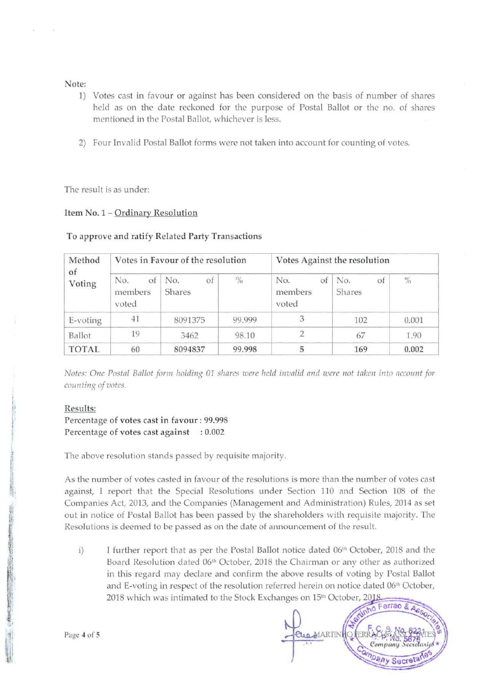#### Note:

- 1) Votes cast in favour or against has been considered on the basis of number of shares held as on the date reckoned for the purpose of Postal Ballot or the no. of shares mentioned in the Postal Ballot, whichever is less.
- 2) Four Invalid Postal Ballot forms were not taken into account for counting of votes.

The result is as under:

#### Item No. 1- Ordinary Resolution

#### **To approve and ratify Related Party Transactions**

| Method<br>of<br>Voting |                               | Votes in Favour of the resolution |               | Votes Against the resolution  |                     |       |  |
|------------------------|-------------------------------|-----------------------------------|---------------|-------------------------------|---------------------|-------|--|
|                        | of<br>No.<br>members<br>voted | No.<br>of<br>Shares               | $\frac{0}{0}$ | of<br>No.<br>members<br>voted | No.<br>of<br>Shares | $\%$  |  |
| E-voting               | 41                            | 8091375                           | 99,999        |                               | 102                 | 0.001 |  |
| Ballot                 | 19                            | 3462                              | 98.10         |                               | 67                  | 1.90  |  |
| <b>TOTAL</b>           | 60                            | 8094837                           | 99.998        |                               | 169                 | 0.002 |  |

*Notes: One Postal Ballot form holding 01 shares were held invalid and were not taken into account for counting of votes.* 

#### Results:

' i  $^{\prime\prime}$ I  $\epsilon_{\rm{eff}}$ 

#### Percentage of votes cast in favour: 99.998 Percentage of votes cast against : 0.002

The above resolution stands passed by requisite majority.

As the number of votes casted in favour of the resolutions is more than the number of voles cast against, I report that the Special Resolutions under Section 110 and Section 108 of the Companies Act, 2013, and the Companies (Management and Administration) Rules, 2014 as set out in notice of Postal Ballot has been passed by the shareholders with requisite majority. The Resolutions is deemed to be passed as on the date of announcement of the result.

I further report that as per the Postal Ballot notice dated 06<sup>th</sup> October, 2018 and the i) Board Resolution dated 06th October, 2018 the Chairman or any other as authorized in this regard may declare and confirm the above results of voting by Postal Ballot and E-voting in respect of the resolution referred herein on notice dated 06<sup>th</sup> October, 2018 which was intimated to the Stock Exchanges on 15<sup>th</sup> October, 2018